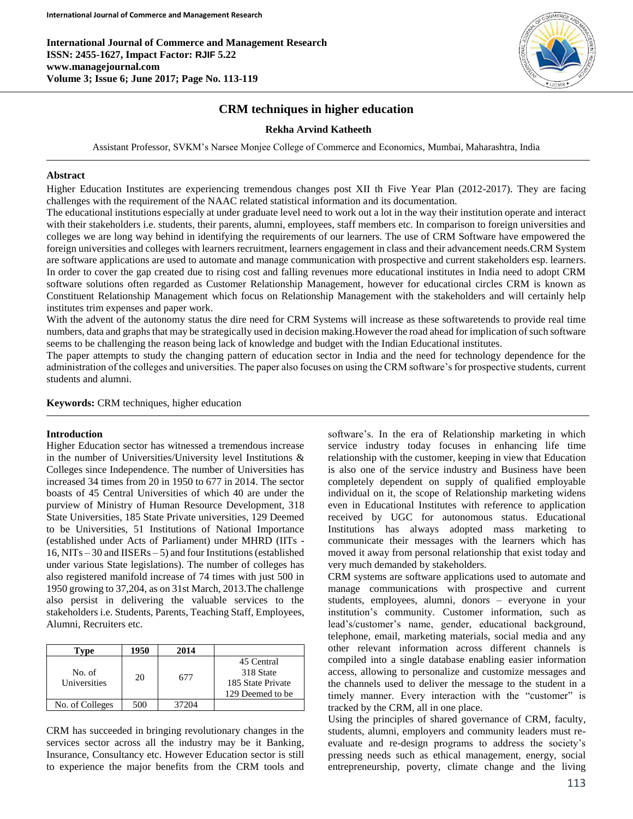**International Journal of Commerce and Management Research ISSN: 2455-1627, Impact Factor: RJIF 5.22 www.managejournal.com Volume 3; Issue 6; June 2017; Page No. 113-119**



# **CRM techniques in higher education**

## **Rekha Arvind Katheeth**

Assistant Professor, SVKM's Narsee Monjee College of Commerce and Economics, Mumbai, Maharashtra, India

#### **Abstract**

Higher Education Institutes are experiencing tremendous changes post XII th Five Year Plan (2012-2017). They are facing challenges with the requirement of the NAAC related statistical information and its documentation.

The educational institutions especially at under graduate level need to work out a lot in the way their institution operate and interact with their stakeholders i.e. students, their parents, alumni, employees, staff members etc. In comparison to foreign universities and colleges we are long way behind in identifying the requirements of our learners. The use of CRM Software have empowered the foreign universities and colleges with learners recruitment, learners engagement in class and their advancement needs.CRM System are software applications are used to automate and manage communication with prospective and current stakeholders esp. learners. In order to cover the gap created due to rising cost and falling revenues more educational institutes in India need to adopt CRM software solutions often regarded as Customer Relationship Management, however for educational circles CRM is known as Constituent Relationship Management which focus on Relationship Management with the stakeholders and will certainly help institutes trim expenses and paper work.

With the advent of the autonomy status the dire need for CRM Systems will increase as these softwaretends to provide real time numbers, data and graphs that may be strategically used in decision making.However the road ahead for implication of such software seems to be challenging the reason being lack of knowledge and budget with the Indian Educational institutes.

The paper attempts to study the changing pattern of education sector in India and the need for technology dependence for the administration of the colleges and universities. The paper also focuses on using the CRM software's for prospective students, current students and alumni.

**Keywords:** CRM techniques, higher education

## **Introduction**

Higher Education sector has witnessed a tremendous increase in the number of Universities/University level Institutions & Colleges since Independence. The number of Universities has increased 34 times from 20 in 1950 to 677 in 2014. The sector boasts of 45 Central Universities of which 40 are under the purview of Ministry of Human Resource Development, 318 State Universities, 185 State Private universities, 129 Deemed to be Universities, 51 Institutions of National Importance (established under Acts of Parliament) under MHRD (IITs - 16, NITs – 30 and IISERs – 5) and four Institutions (established under various State legislations). The number of colleges has also registered manifold increase of 74 times with just 500 in 1950 growing to 37,204, as on 31st March, 2013.The challenge also persist in delivering the valuable services to the stakeholders i.e. Students, Parents, Teaching Staff, Employees, Alumni, Recruiters etc.

| Tvpe                   | 1950 | 2014  |                                                                  |
|------------------------|------|-------|------------------------------------------------------------------|
| No. of<br>Universities | 20   | 677   | 45 Central<br>318 State<br>185 State Private<br>129 Deemed to be |
| No. of Colleges        | 500  | 37204 |                                                                  |

CRM has succeeded in bringing revolutionary changes in the services sector across all the industry may be it Banking, Insurance, Consultancy etc. However Education sector is still to experience the major benefits from the CRM tools and

software's. In the era of Relationship marketing in which service industry today focuses in enhancing life time relationship with the customer, keeping in view that Education is also one of the service industry and Business have been completely dependent on supply of qualified employable individual on it, the scope of Relationship marketing widens even in Educational Institutes with reference to application received by UGC for autonomous status. Educational Institutions has always adopted mass marketing to communicate their messages with the learners which has moved it away from personal relationship that exist today and very much demanded by stakeholders.

CRM systems are software applications used to automate and manage communications with prospective and current students, employees, alumni, donors – everyone in your institution's community. Customer information, such as lead's/customer's name, gender, educational background, telephone, email, marketing materials, social media and any other relevant information across different channels is compiled into a single database enabling easier information access, allowing to personalize and customize messages and the channels used to deliver the message to the student in a timely manner. Every interaction with the "customer" is tracked by the CRM, all in one place.

Using the principles of shared governance of CRM, faculty, students, alumni, employers and community leaders must reevaluate and re-design programs to address the society's pressing needs such as ethical management, energy, social entrepreneurship, poverty, climate change and the living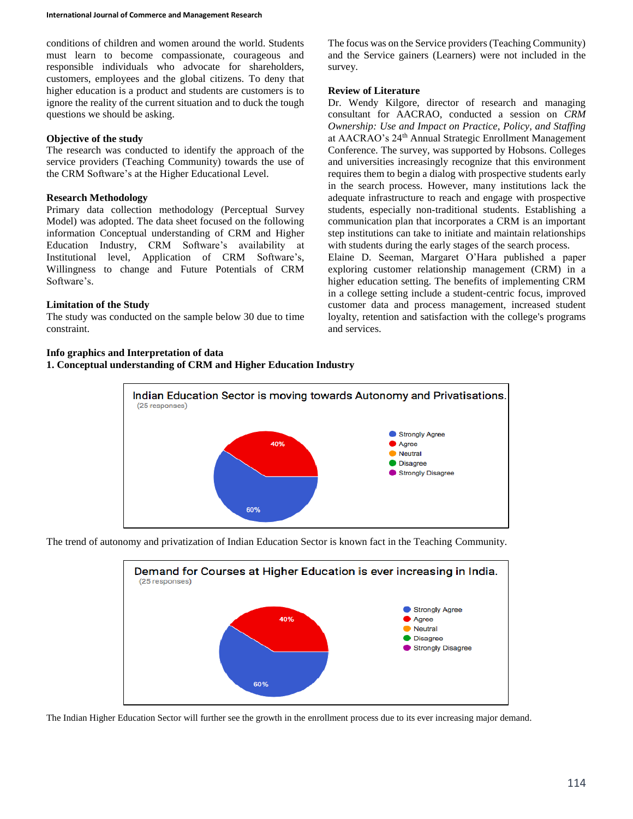conditions of children and women around the world. Students must learn to become compassionate, courageous and responsible individuals who advocate for shareholders, customers, employees and the global citizens. To deny that higher education is a product and students are customers is to ignore the reality of the current situation and to duck the tough questions we should be asking.

## **Objective of the study**

The research was conducted to identify the approach of the service providers (Teaching Community) towards the use of the CRM Software's at the Higher Educational Level.

## **Research Methodology**

Primary data collection methodology (Perceptual Survey Model) was adopted. The data sheet focused on the following information Conceptual understanding of CRM and Higher Education Industry, CRM Software's availability at Institutional level, Application of CRM Software's, Willingness to change and Future Potentials of CRM Software's.

# **Limitation of the Study**

The study was conducted on the sample below 30 due to time constraint.

# **Info graphics and Interpretation of data**

**1. Conceptual understanding of CRM and Higher Education Industry**

The focus was on the Service providers (Teaching Community) and the Service gainers (Learners) were not included in the survey.

# **Review of Literature**

Dr. Wendy Kilgore, director of research and managing consultant for AACRAO, conducted a session on *CRM Ownership: Use and Impact on Practice, Policy, and Staffing*  at AACRAO's 24th Annual Strategic Enrollment Management Conference. The survey, was supported by Hobsons. Colleges and universities increasingly recognize that this environment requires them to begin a dialog with prospective students early in the search process. However, many institutions lack the adequate infrastructure to reach and engage with prospective students, especially non-traditional students. Establishing a communication plan that incorporates a CRM is an important step institutions can take to initiate and maintain relationships with students during the early stages of the search process. Elaine D. Seeman, Margaret O'Hara published a paper

exploring customer relationship management (CRM) in a higher education setting. The benefits of implementing CRM in a college setting include a student‐centric focus, improved customer data and process management, increased student loyalty, retention and satisfaction with the college's programs and services.



The trend of autonomy and privatization of Indian Education Sector is known fact in the Teaching Community.



The Indian Higher Education Sector will further see the growth in the enrollment process due to its ever increasing major demand.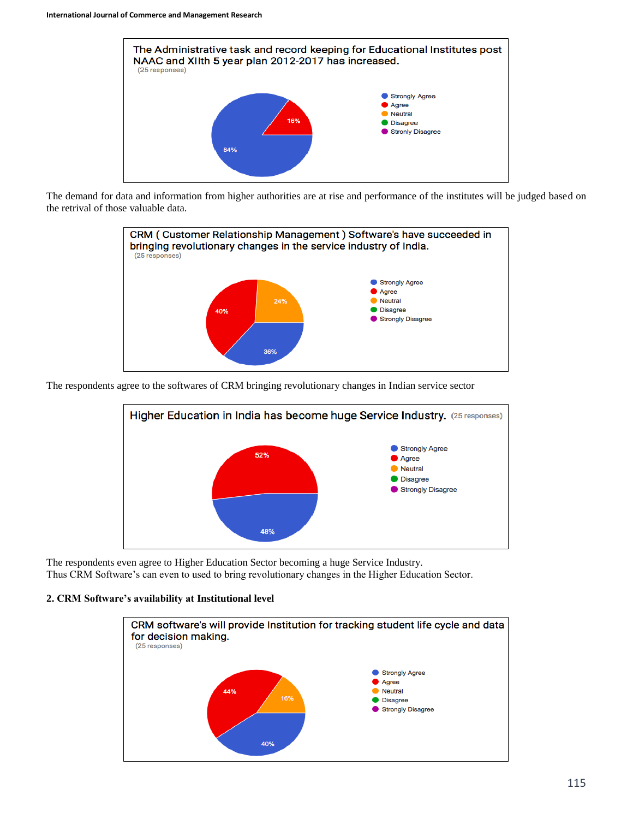

The demand for data and information from higher authorities are at rise and performance of the institutes will be judged based on the retrival of those valuable data.



The respondents agree to the softwares of CRM bringing revolutionary changes in Indian service sector



The respondents even agree to Higher Education Sector becoming a huge Service Industry. Thus CRM Software's can even to used to bring revolutionary changes in the Higher Education Sector.

## **2. CRM Software's availability at Institutional level**

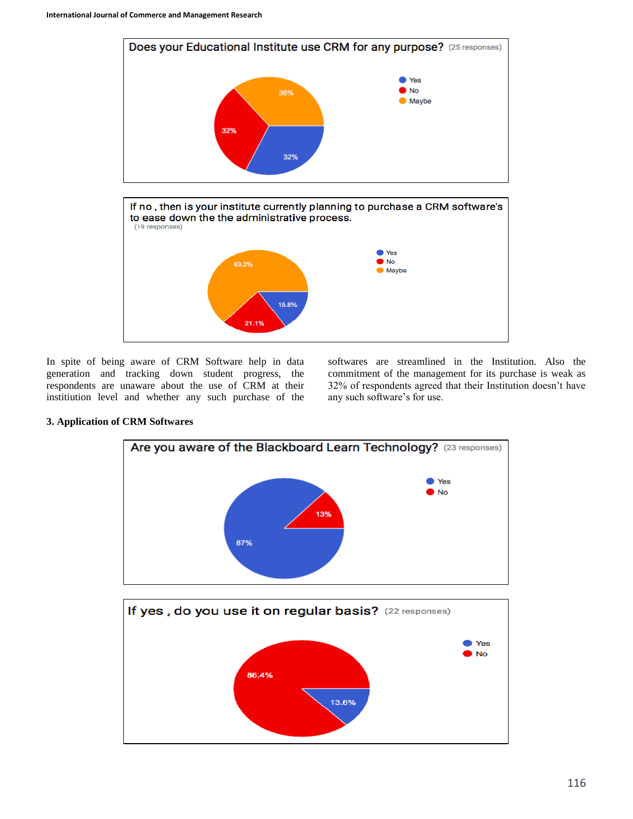

In spite of being aware of CRM Software help in data generation and tracking down student progress, the respondents are unaware about the use of CRM at their institiution level and whether any such purchase of the

softwares are streamlined in the Institution. Also the commitment of the management for its purchase is weak as 32% of respondents agreed that their Institution doesn't have any such software's for use.



# If yes, do you use it on regular basis? (22 responses) Yes **No** 86.4% 13.6%

# **3. Application of CRM Softwares**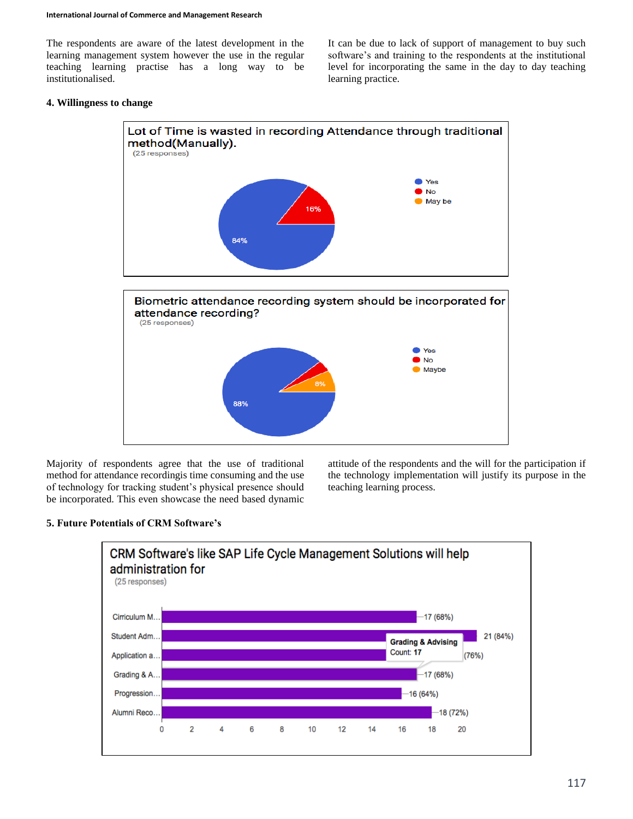The respondents are aware of the latest development in the learning management system however the use in the regular teaching learning practise has a long way to be institutionalised.

It can be due to lack of support of management to buy such software's and training to the respondents at the institutional level for incorporating the same in the day to day teaching learning practice.

# **4. Willingness to change**



Majority of respondents agree that the use of traditional method for attendance recordingis time consuming and the use of technology for tracking student's physical presence should be incorporated. This even showcase the need based dynamic

attitude of the respondents and the will for the participation if the technology implementation will justify its purpose in the teaching learning process.

# **5. Future Potentials of CRM Software's**

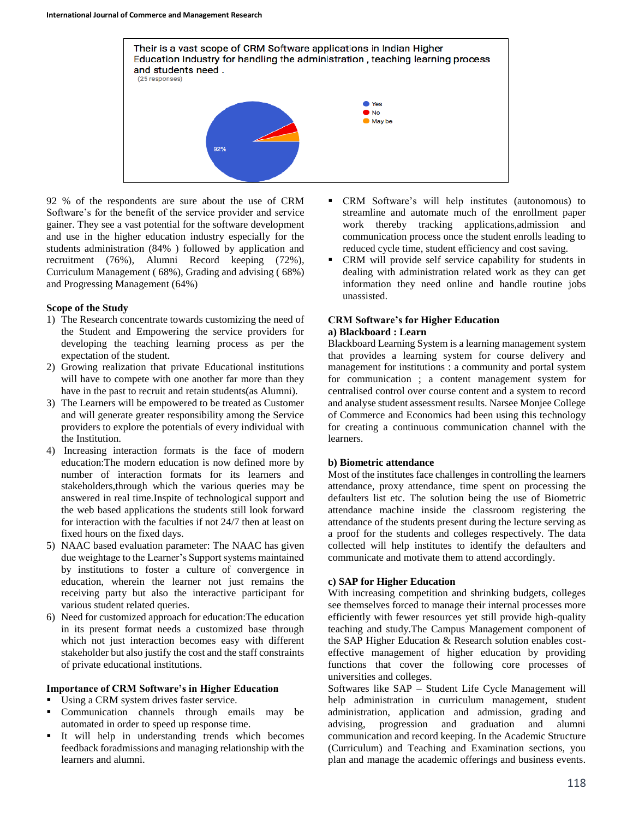

92 % of the respondents are sure about the use of CRM Software's for the benefit of the service provider and service gainer. They see a vast potential for the software development and use in the higher education industry especially for the students administration (84% ) followed by application and recruitment (76%), Alumni Record keeping (72%), Curriculum Management ( 68%), Grading and advising ( 68%) and Progressing Management (64%)

# **Scope of the Study**

- 1) The Research concentrate towards customizing the need of the Student and Empowering the service providers for developing the teaching learning process as per the expectation of the student.
- 2) Growing realization that private Educational institutions will have to compete with one another far more than they have in the past to recruit and retain students(as Alumni).
- 3) The Learners will be empowered to be treated as Customer and will generate greater responsibility among the Service providers to explore the potentials of every individual with the Institution.
- 4) Increasing interaction formats is the face of modern education:The modern education is now defined more by number of interaction formats for its learners and stakeholders,through which the various queries may be answered in real time.Inspite of technological support and the web based applications the students still look forward for interaction with the faculties if not 24/7 then at least on fixed hours on the fixed days.
- 5) NAAC based evaluation parameter: The NAAC has given due weightage to the Learner's Support systems maintained by institutions to foster a culture of convergence in education, wherein the learner not just remains the receiving party but also the interactive participant for various student related queries.
- 6) Need for customized approach for education:The education in its present format needs a customized base through which not just interaction becomes easy with different stakeholder but also justify the cost and the staff constraints of private educational institutions.

# **Importance of CRM Software's in Higher Education**

- Using a CRM system drives faster service.
- **Communication** channels through emails may be automated in order to speed up response time.
- It will help in understanding trends which becomes feedback foradmissions and managing relationship with the learners and alumni.
- CRM Software's will help institutes (autonomous) to streamline and automate much of the enrollment paper work thereby tracking applications,admission and communication process once the student enrolls leading to reduced cycle time, student efficiency and cost saving.
- CRM will provide self service capability for students in dealing with administration related work as they can get information they need online and handle routine jobs unassisted.

## **CRM Software's for Higher Education a) Blackboard : Learn**

Blackboard Learning System is a learning management system that provides a learning system for course delivery and management for institutions : a community and portal system for communication ; a content management system for centralised control over course content and a system to record and analyse student assessment results. Narsee Monjee College of Commerce and Economics had been using this technology for creating a continuous communication channel with the learners.

# **b) Biometric attendance**

Most of the institutes face challenges in controlling the learners attendance, proxy attendance, time spent on processing the defaulters list etc. The solution being the use of Biometric attendance machine inside the classroom registering the attendance of the students present during the lecture serving as a proof for the students and colleges respectively. The data collected will help institutes to identify the defaulters and communicate and motivate them to attend accordingly.

# **c) SAP for Higher Education**

With increasing competition and shrinking budgets, colleges see themselves forced to manage their internal processes more efficiently with fewer resources yet still provide high-quality teaching and study.The Campus Management component of the SAP Higher Education & Research solution enables costeffective management of higher education by providing functions that cover the following core processes of universities and colleges.

Softwares like SAP – Student Life Cycle Management will help administration in curriculum management, student administration, application and admission, grading and advising, progression and graduation and alumni communication and record keeping. In the Academic Structure (Curriculum) and Teaching and Examination sections, you plan and manage the academic offerings and business events.